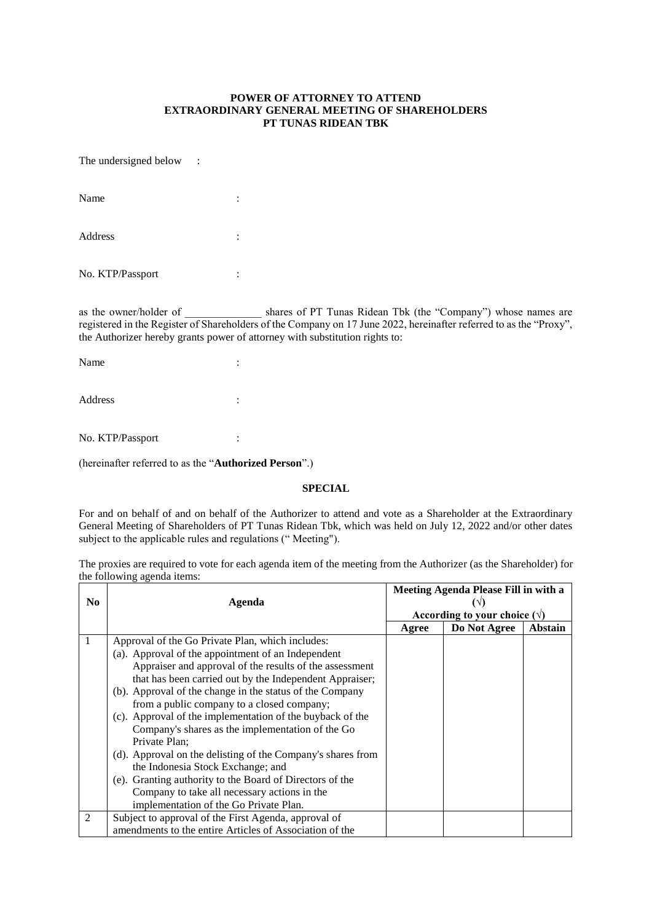## **POWER OF ATTORNEY TO ATTEND EXTRAORDINARY GENERAL MEETING OF SHAREHOLDERS PT TUNAS RIDEAN TBK**

The undersigned below :

| Name             | ٠<br>٠ |
|------------------|--------|
| Address          | ٠      |
| No. KTP/Passport |        |

as the owner/holder of \_\_\_\_\_\_\_\_\_\_\_\_\_\_\_\_\_ shares of PT Tunas Ridean Tbk (the "Company") whose names are registered in the Register of Shareholders of the Company on 17 June 2022, hereinafter referred to as the "Proxy", the Authorizer hereby grants power of attorney with substitution rights to:

| Name    | ٠<br>٠ |
|---------|--------|
| Address | ٠<br>٠ |

No. KTP/Passport :

(hereinafter referred to as the "**Authorized Person**".)

## **SPECIAL**

For and on behalf of and on behalf of the Authorizer to attend and vote as a Shareholder at the Extraordinary General Meeting of Shareholders of PT Tunas Ridean Tbk, which was held on July 12, 2022 and/or other dates subject to the applicable rules and regulations (" Meeting").

The proxies are required to vote for each agenda item of the meeting from the Authorizer (as the Shareholder) for the following agenda items:

|                |                                                             | Meeting Agenda Please Fill in with a |              |         |
|----------------|-------------------------------------------------------------|--------------------------------------|--------------|---------|
| N <sub>0</sub> | Agenda                                                      |                                      |              |         |
|                |                                                             | According to your choice $(\forall)$ |              |         |
|                |                                                             | Agree                                | Do Not Agree | Abstain |
|                | Approval of the Go Private Plan, which includes:            |                                      |              |         |
|                | (a). Approval of the appointment of an Independent          |                                      |              |         |
|                | Appraiser and approval of the results of the assessment     |                                      |              |         |
|                | that has been carried out by the Independent Appraiser;     |                                      |              |         |
|                | (b). Approval of the change in the status of the Company    |                                      |              |         |
|                | from a public company to a closed company;                  |                                      |              |         |
|                | (c). Approval of the implementation of the buyback of the   |                                      |              |         |
|                | Company's shares as the implementation of the Go            |                                      |              |         |
|                | Private Plan;                                               |                                      |              |         |
|                | (d). Approval on the delisting of the Company's shares from |                                      |              |         |
|                | the Indonesia Stock Exchange; and                           |                                      |              |         |
|                | (e). Granting authority to the Board of Directors of the    |                                      |              |         |
|                | Company to take all necessary actions in the                |                                      |              |         |
|                | implementation of the Go Private Plan.                      |                                      |              |         |
| 2              | Subject to approval of the First Agenda, approval of        |                                      |              |         |
|                | amendments to the entire Articles of Association of the     |                                      |              |         |